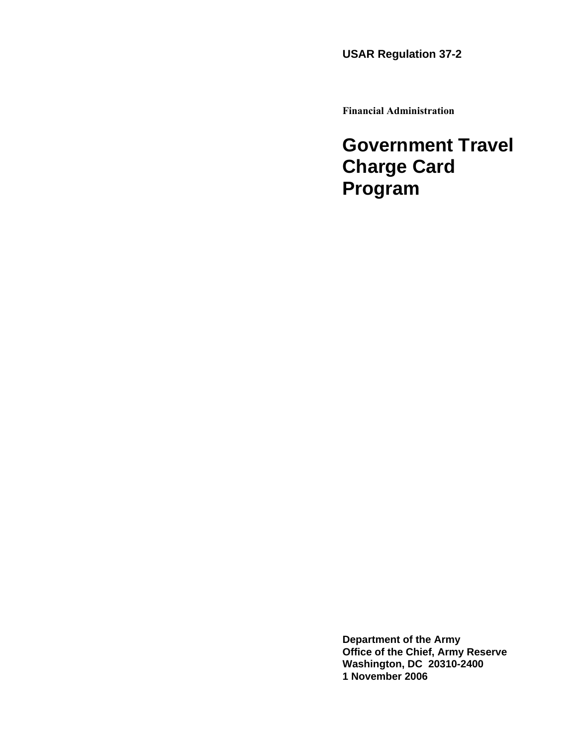**USAR Regulation 37-2** 

**Financial Administration** 

**Government Travel Charge Card Program** 

**Department of the Army Office of the Chief, Army Reserve Washington, DC 20310-2400 1 November 2006**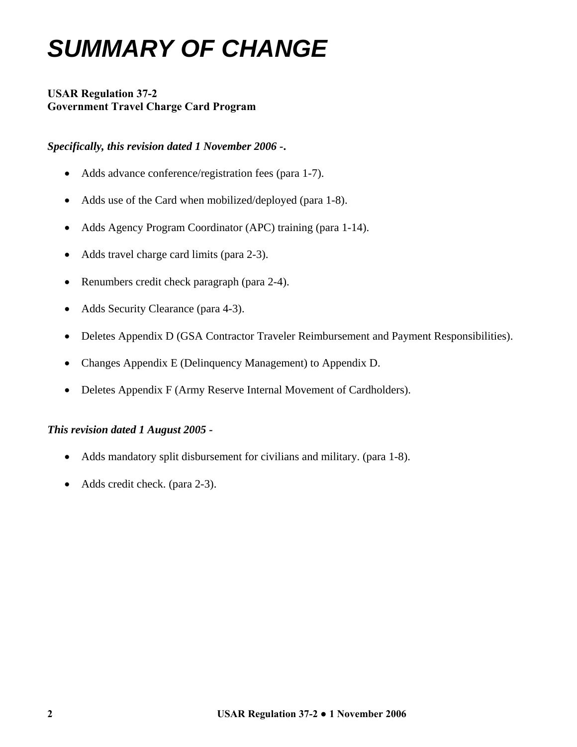# *SUMMARY OF CHANGE*

# **USAR Regulation 37-2 Government Travel Charge Card Program**

# *Specifically, this revision dated 1 November 2006 -***.**

- Adds advance conference/registration fees (para 1-7).
- Adds use of the Card when mobilized/deployed (para 1-8).
- Adds Agency Program Coordinator (APC) training (para 1-14).
- Adds travel charge card limits (para 2-3).
- Renumbers credit check paragraph (para 2-4).
- Adds Security Clearance (para 4-3).
- Deletes Appendix D (GSA Contractor Traveler Reimbursement and Payment Responsibilities).
- Changes Appendix E (Delinquency Management) to Appendix D.
- Deletes Appendix F (Army Reserve Internal Movement of Cardholders).

# *This revision dated 1 August 2005 -*

- Adds mandatory split disbursement for civilians and military. (para 1-8).
- Adds credit check. (para 2-3).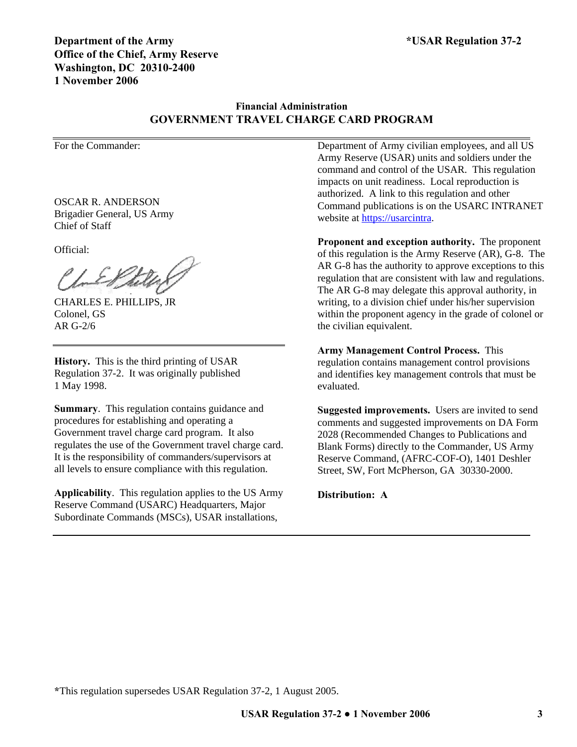# **Financial Administration GOVERNMENT TRAVEL CHARGE CARD PROGRAM**

For the Commander:

OSCAR R. ANDERSON Brigadier General, US Army Chief of Staff

Official:

CHARLES E. PHILLIPS, JR Colonel, GS AR G-2/6

**History.** This is the third printing of USAR Regulation 37-2. It was originally published 1 May 1998.

**Summary**. This regulation contains guidance and procedures for establishing and operating a Government travel charge card program. It also regulates the use of the Government travel charge card. It is the responsibility of commanders/supervisors at all levels to ensure compliance with this regulation.

**Applicability**. This regulation applies to the US Army Reserve Command (USARC) Headquarters, Major Subordinate Commands (MSCs), USAR installations,

Department of Army civilian employees, and all US Army Reserve (USAR) units and soldiers under the command and control of the USAR. This regulation impacts on unit readiness. Local reproduction is authorized. A link to this regulation and other Command publications is on the USARC INTRANET website at [https://usarcintra.](https://usarcintra/)

**Proponent and exception authority.** The proponent of this regulation is the Army Reserve (AR), G-8. The AR G-8 has the authority to approve exceptions to this regulation that are consistent with law and regulations. The AR G-8 may delegate this approval authority, in writing, to a division chief under his/her supervision within the proponent agency in the grade of colonel or the civilian equivalent.

**Army Management Control Process.** This regulation contains management control provisions and identifies key management controls that must be evaluated.

**Suggested improvements.** Users are invited to send comments and suggested improvements on DA Form 2028 (Recommended Changes to Publications and Blank Forms) directly to the Commander, US Army Reserve Command, (AFRC-COF-O), 1401 Deshler Street, SW, Fort McPherson, GA 30330-2000.

**Distribution: A**

**\***This regulation supersedes USAR Regulation 37-2, 1 August 2005.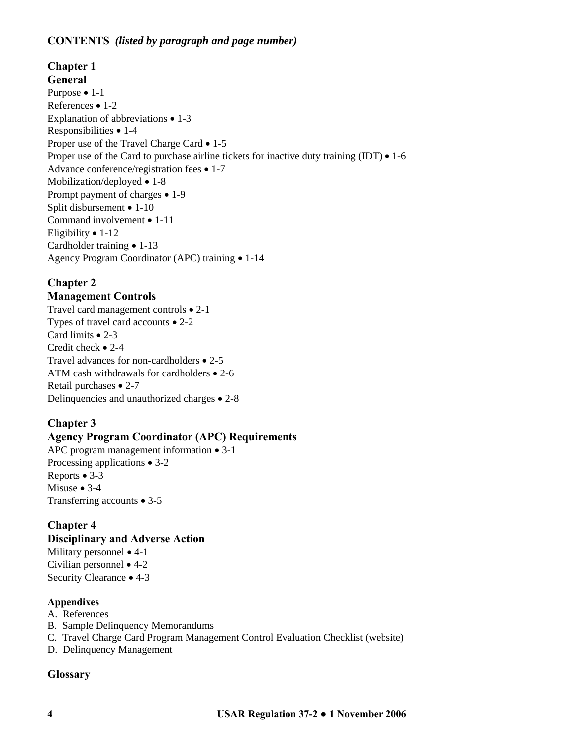# **CONTENTS** *(listed by paragraph and page number)*

# **Chapter 1 General**  Purpose • 1-1 References • 1-2 Explanation of abbreviations • 1-3 Responsibilities • 1-4 Proper use of the Travel Charge Card • 1-5 Proper use of the Card to purchase airline tickets for inactive duty training (IDT)  $\bullet$  1-6 Advance conference/registration fees • 1-7 Mobilization/deployed • 1-8 Prompt payment of charges • 1-9 Split disbursement • 1-10 Command involvement • 1-11 Eligibility • 1-12 Cardholder training • 1-13 Agency Program Coordinator (APC) training • 1-14

# **Chapter 2**

# **Management Controls**

Travel card management controls • 2-1 Types of travel card accounts • 2-2 Card limits • 2-3 Credit check • 2-4 Travel advances for non-cardholders • 2-5 ATM cash withdrawals for cardholders • 2-6 Retail purchases • 2-7 Delinquencies and unauthorized charges • 2-8

# **Chapter 3**

# **Agency Program Coordinator (APC) Requirements**

APC program management information • 3-1 Processing applications • 3-2 Reports • 3-3 Misuse • 3-4 Transferring accounts • 3-5

# **Chapter 4**

# **Disciplinary and Adverse Action**

Military personnel • 4-1 Civilian personnel • 4-2 Security Clearance • 4-3

# **Appendixes**

- A. References B. Sample Delinquency Memorandums
- C. Travel Charge Card Program Management Control Evaluation Checklist (website)
- D. Delinquency Management

# **Glossary**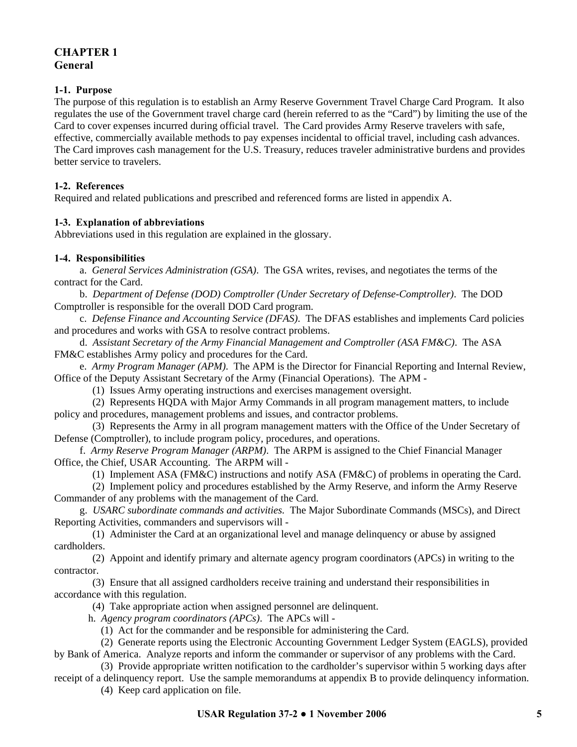# **CHAPTER 1 General**

## **1-1. Purpose**

The purpose of this regulation is to establish an Army Reserve Government Travel Charge Card Program. It also regulates the use of the Government travel charge card (herein referred to as the "Card") by limiting the use of the Card to cover expenses incurred during official travel. The Card provides Army Reserve travelers with safe, effective, commercially available methods to pay expenses incidental to official travel, including cash advances. The Card improves cash management for the U.S. Treasury, reduces traveler administrative burdens and provides better service to travelers.

## **1-2. References**

Required and related publications and prescribed and referenced forms are listed in appendix A.

# **1-3. Explanation of abbreviations**

Abbreviations used in this regulation are explained in the glossary.

#### **1-4. Responsibilities**

a.*General Services Administration (GSA)*.The GSA writes, revises, and negotiates the terms of the contract for the Card.

 b. *Department of Defense (DOD) Comptroller (Under Secretary of Defense-Comptroller)*. The DOD Comptroller is responsible for the overall DOD Card program.

c. *Defense Finance and Accounting Service (DFAS)*. The DFAS establishes and implements Card policies and procedures and works with GSA to resolve contract problems.

d. *Assistant Secretary of the Army Financial Management and Comptroller (ASA FM&C)*. The ASA FM&C establishes Army policy and procedures for the Card.

 e. *Army Program Manager (APM)*. The APM is the Director for Financial Reporting and Internal Review, Office of the Deputy Assistant Secretary of the Army (Financial Operations). The APM -

(1) Issues Army operating instructions and exercises management oversight.

(2) Represents HQDA with Major Army Commands in all program management matters, to include policy and procedures, management problems and issues, and contractor problems.

(3) Represents the Army in all program management matters with the Office of the Under Secretary of Defense (Comptroller), to include program policy, procedures, and operations.

f. *Army Reserve Program Manager (ARPM)*. The ARPM is assigned to the Chief Financial Manager Office, the Chief, USAR Accounting. The ARPM will -

(1) Implement ASA (FM&C) instructions and notify ASA (FM&C) of problems in operating the Card.

(2) Implement policy and procedures established by the Army Reserve, and inform the Army Reserve Commander of any problems with the management of the Card.

g.*USARC subordinate commands and activities.* The Major Subordinate Commands (MSCs), and Direct Reporting Activities, commanders and supervisors will -

(1) Administer the Card at an organizational level and manage delinquency or abuse by assigned cardholders.

(2) Appoint and identify primary and alternate agency program coordinators (APCs) in writing to the contractor.

(3) Ensure that all assigned cardholders receive training and understand their responsibilities in accordance with this regulation.

(4) Take appropriate action when assigned personnel are delinquent.

h. *Agency program coordinators (APCs)*. The APCs will -

(1) Act for the commander and be responsible for administering the Card.

(2) Generate reports using the Electronic Accounting Government Ledger System (EAGLS), provided by Bank of America. Analyze reports and inform the commander or supervisor of any problems with the Card.

(3) Provide appropriate written notification to the cardholder's supervisor within 5 working days after receipt of a delinquency report. Use the sample memorandums at appendix B to provide delinquency information.

(4) Keep card application on file.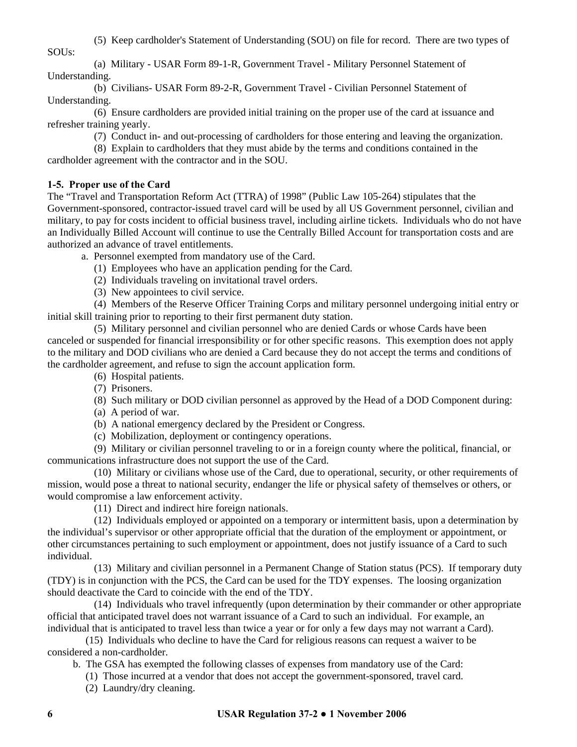(5) Keep cardholder's Statement of Understanding (SOU) on file for record. There are two types of

SOUs:

(a) Military - USAR Form 89-1-R, Government Travel - Military Personnel Statement of Understanding.

(b) Civilians- USAR Form 89-2-R, Government Travel - Civilian Personnel Statement of Understanding.

(6) Ensure cardholders are provided initial training on the proper use of the card at issuance and refresher training yearly.

(7) Conduct in- and out-processing of cardholders for those entering and leaving the organization.

(8) Explain to cardholders that they must abide by the terms and conditions contained in the cardholder agreement with the contractor and in the SOU.

# **1-5. Proper use of the Card**

The "Travel and Transportation Reform Act (TTRA) of 1998" (Public Law 105-264) stipulates that the Government-sponsored, contractor-issued travel card will be used by all US Government personnel, civilian and military, to pay for costs incident to official business travel, including airline tickets. Individuals who do not have an Individually Billed Account will continue to use the Centrally Billed Account for transportation costs and are authorized an advance of travel entitlements.

a. Personnel exempted from mandatory use of the Card.

- (1) Employees who have an application pending for the Card.
- (2) Individuals traveling on invitational travel orders.
- (3) New appointees to civil service.

(4) Members of the Reserve Officer Training Corps and military personnel undergoing initial entry or initial skill training prior to reporting to their first permanent duty station.

(5) Military personnel and civilian personnel who are denied Cards or whose Cards have been canceled or suspended for financial irresponsibility or for other specific reasons. This exemption does not apply to the military and DOD civilians who are denied a Card because they do not accept the terms and conditions of the cardholder agreement, and refuse to sign the account application form.

- (6) Hospital patients.
- (7) Prisoners.

(8) Such military or DOD civilian personnel as approved by the Head of a DOD Component during:

- (a) A period of war.
- (b) A national emergency declared by the President or Congress.
- (c) Mobilization, deployment or contingency operations.

(9) Military or civilian personnel traveling to or in a foreign county where the political, financial, or communications infrastructure does not support the use of the Card.

(10) Military or civilians whose use of the Card, due to operational, security, or other requirements of mission, would pose a threat to national security, endanger the life or physical safety of themselves or others, or would compromise a law enforcement activity.

(11) Direct and indirect hire foreign nationals.

(12) Individuals employed or appointed on a temporary or intermittent basis, upon a determination by the individual's supervisor or other appropriate official that the duration of the employment or appointment, or other circumstances pertaining to such employment or appointment, does not justify issuance of a Card to such individual.

(13) Military and civilian personnel in a Permanent Change of Station status (PCS). If temporary duty (TDY) is in conjunction with the PCS, the Card can be used for the TDY expenses. The loosing organization should deactivate the Card to coincide with the end of the TDY.

(14) Individuals who travel infrequently (upon determination by their commander or other appropriate official that anticipated travel does not warrant issuance of a Card to such an individual. For example, an individual that is anticipated to travel less than twice a year or for only a few days may not warrant a Card).

(15) Individuals who decline to have the Card for religious reasons can request a waiver to be considered a non-cardholder.

b. The GSA has exempted the following classes of expenses from mandatory use of the Card:

- (1) Those incurred at a vendor that does not accept the government-sponsored, travel card.
- (2) Laundry/dry cleaning.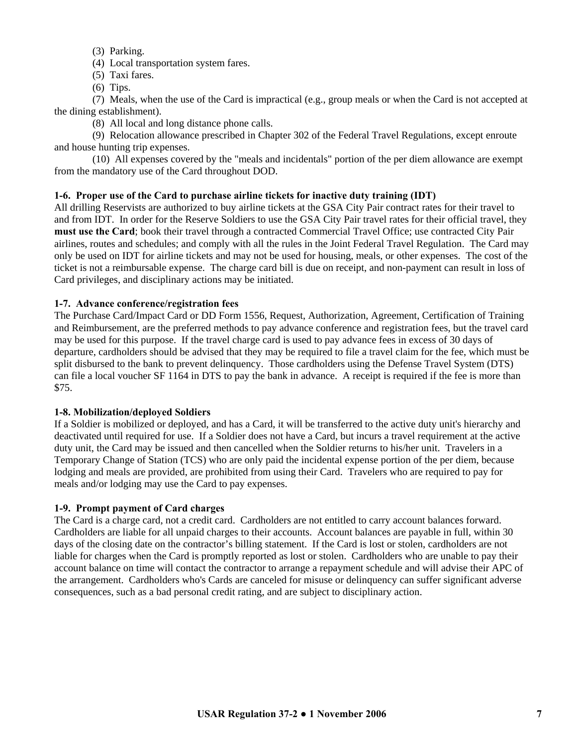- (3) Parking.
- (4) Local transportation system fares.
- (5) Taxi fares.
- (6) Tips.

 (7) Meals, when the use of the Card is impractical (e.g., group meals or when the Card is not accepted at the dining establishment).

(8) All local and long distance phone calls.

 (9) Relocation allowance prescribed in Chapter 302 of the Federal Travel Regulations, except enroute and house hunting trip expenses.

 (10) All expenses covered by the "meals and incidentals" portion of the per diem allowance are exempt from the mandatory use of the Card throughout DOD.

# **1-6. Proper use of the Card to purchase airline tickets for inactive duty training (IDT)**

All drilling Reservists are authorized to buy airline tickets at the GSA City Pair contract rates for their travel to and from IDT. In order for the Reserve Soldiers to use the GSA City Pair travel rates for their official travel, they **must use the Card**; book their travel through a contracted Commercial Travel Office; use contracted City Pair airlines, routes and schedules; and comply with all the rules in the Joint Federal Travel Regulation. The Card may only be used on IDT for airline tickets and may not be used for housing, meals, or other expenses. The cost of the ticket is not a reimbursable expense. The charge card bill is due on receipt, and non-payment can result in loss of Card privileges, and disciplinary actions may be initiated.

#### **1-7. Advance conference/registration fees**

The Purchase Card/Impact Card or DD Form 1556, Request, Authorization, Agreement, Certification of Training and Reimbursement, are the preferred methods to pay advance conference and registration fees, but the travel card may be used for this purpose. If the travel charge card is used to pay advance fees in excess of 30 days of departure, cardholders should be advised that they may be required to file a travel claim for the fee, which must be split disbursed to the bank to prevent delinquency. Those cardholders using the Defense Travel System (DTS) can file a local voucher SF 1164 in DTS to pay the bank in advance. A receipt is required if the fee is more than \$75.

#### **1-8. Mobilization/deployed Soldiers**

If a Soldier is mobilized or deployed, and has a Card, it will be transferred to the active duty unit's hierarchy and deactivated until required for use. If a Soldier does not have a Card, but incurs a travel requirement at the active duty unit, the Card may be issued and then cancelled when the Soldier returns to his/her unit. Travelers in a Temporary Change of Station (TCS) who are only paid the incidental expense portion of the per diem, because lodging and meals are provided, are prohibited from using their Card. Travelers who are required to pay for meals and/or lodging may use the Card to pay expenses.

#### **1-9. Prompt payment of Card charges**

The Card is a charge card, not a credit card. Cardholders are not entitled to carry account balances forward. Cardholders are liable for all unpaid charges to their accounts. Account balances are payable in full, within 30 days of the closing date on the contractor's billing statement. If the Card is lost or stolen, cardholders are not liable for charges when the Card is promptly reported as lost or stolen. Cardholders who are unable to pay their account balance on time will contact the contractor to arrange a repayment schedule and will advise their APC of the arrangement. Cardholders who's Cards are canceled for misuse or delinquency can suffer significant adverse consequences, such as a bad personal credit rating, and are subject to disciplinary action.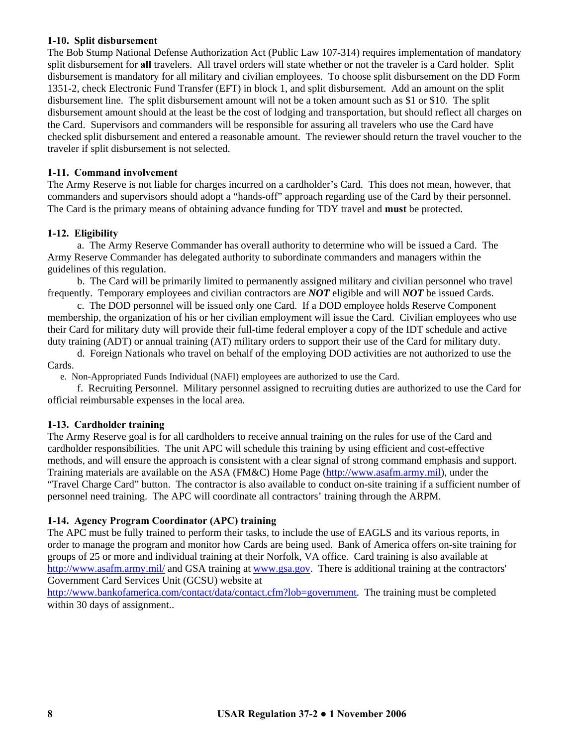#### **1-10. Split disbursement**

The Bob Stump National Defense Authorization Act (Public Law 107-314) requires implementation of mandatory split disbursement for **all** travelers. All travel orders will state whether or not the traveler is a Card holder. Split disbursement is mandatory for all military and civilian employees. To choose split disbursement on the DD Form 1351-2, check Electronic Fund Transfer (EFT) in block 1, and split disbursement. Add an amount on the split disbursement line. The split disbursement amount will not be a token amount such as \$1 or \$10. The split disbursement amount should at the least be the cost of lodging and transportation, but should reflect all charges on the Card. Supervisors and commanders will be responsible for assuring all travelers who use the Card have checked split disbursement and entered a reasonable amount. The reviewer should return the travel voucher to the traveler if split disbursement is not selected.

# **1-11. Command involvement**

The Army Reserve is not liable for charges incurred on a cardholder's Card. This does not mean, however, that commanders and supervisors should adopt a "hands-off" approach regarding use of the Card by their personnel. The Card is the primary means of obtaining advance funding for TDY travel and **must** be protected.

#### **1-12. Eligibility**

a. The Army Reserve Commander has overall authority to determine who will be issued a Card. The Army Reserve Commander has delegated authority to subordinate commanders and managers within the guidelines of this regulation.

b. The Card will be primarily limited to permanently assigned military and civilian personnel who travel frequently. Temporary employees and civilian contractors are *NOT* eligible and will *NOT* be issued Cards.

c. The DOD personnel will be issued only one Card. If a DOD employee holds Reserve Component membership, the organization of his or her civilian employment will issue the Card. Civilian employees who use their Card for military duty will provide their full-time federal employer a copy of the IDT schedule and active duty training (ADT) or annual training (AT) military orders to support their use of the Card for military duty.

d. Foreign Nationals who travel on behalf of the employing DOD activities are not authorized to use the Cards.

e. Non-Appropriated Funds Individual (NAFI) employees are authorized to use the Card.

f. Recruiting Personnel. Military personnel assigned to recruiting duties are authorized to use the Card for official reimbursable expenses in the local area.

#### **1-13. Cardholder training**

The Army Reserve goal is for all cardholders to receive annual training on the rules for use of the Card and cardholder responsibilities. The unit APC will schedule this training by using efficient and cost-effective methods, and will ensure the approach is consistent with a clear signal of strong command emphasis and support. Training materials are available on the ASA (FM&C) Home Page [\(http://www.asafm.army.mil](http://www.asafm.army.mil/)), under the "Travel Charge Card" button. The contractor is also available to conduct on-site training if a sufficient number of personnel need training. The APC will coordinate all contractors' training through the ARPM.

#### **1-14. Agency Program Coordinator (APC) training**

The APC must be fully trained to perform their tasks, to include the use of EAGLS and its various reports, in order to manage the program and monitor how Cards are being used. Bank of America offers on-site training for groups of 25 or more and individual training at their Norfolk, VA office. Card training is also available at <http://www.asafm.army.mil/> and GSA training at [www.gsa.gov](http://www.gsa.gov/). There is additional training at the contractors' Government Card Services Unit (GCSU) website at

[http://www.bankofamerica.com/contact/data/contact.cfm?lob=government.](http://www.bankofamerica.com/contact/data/contact.cfm?lob=government) The training must be completed within 30 days of assignment..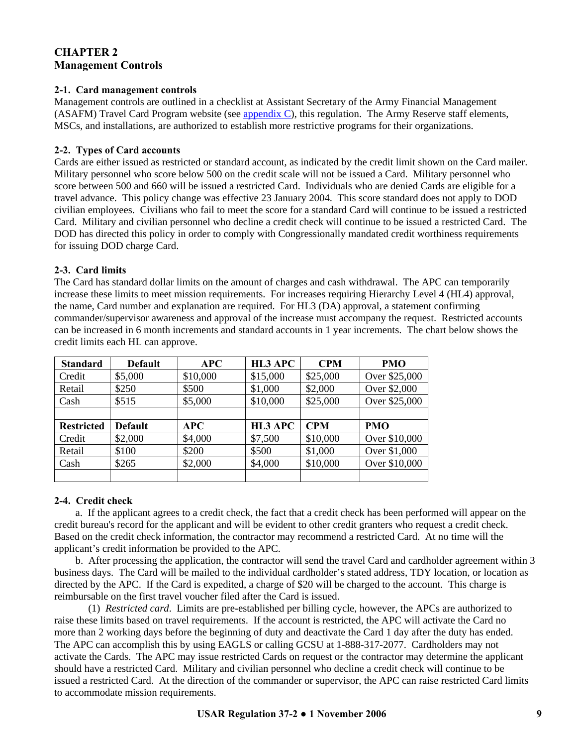# **CHAPTER 2 Management Controls**

#### **2-1. Card management controls**

Management controls are outlined in a checklist at Assistant Secretary of the Army Financial Management (ASAFM) Travel Card Program website (see appendix C), this regulation. The Army Reserve staff elements, MSCs, and installations, are authorized to establish more restrictive programs for their organizations.

#### **2-2. Types of Card accounts**

Cards are either issued as restricted or standard account, as indicated by the credit limit shown on the Card mailer. Military personnel who score below 500 on the credit scale will not be issued a Card. Military personnel who score between 500 and 660 will be issued a restricted Card. Individuals who are denied Cards are eligible for a travel advance. This policy change was effective 23 January 2004. This score standard does not apply to DOD civilian employees. Civilians who fail to meet the score for a standard Card will continue to be issued a restricted Card. Military and civilian personnel who decline a credit check will continue to be issued a restricted Card. The DOD has directed this policy in order to comply with Congressionally mandated credit worthiness requirements for issuing DOD charge Card.

## **2-3. Card limits**

The Card has standard dollar limits on the amount of charges and cash withdrawal. The APC can temporarily increase these limits to meet mission requirements. For increases requiring Hierarchy Level 4 (HL4) approval, the name, Card number and explanation are required. For HL3 (DA) approval, a statement confirming commander/supervisor awareness and approval of the increase must accompany the request. Restricted accounts can be increased in 6 month increments and standard accounts in 1 year increments. The chart below shows the credit limits each HL can approve.

| <b>Standard</b>   | <b>Default</b> | <b>APC</b> | HL3 APC  | <b>CPM</b> | <b>PMO</b>    |
|-------------------|----------------|------------|----------|------------|---------------|
| Credit            | \$5,000        | \$10,000   | \$15,000 | \$25,000   | Over \$25,000 |
| Retail            | \$250          | \$500      | \$1,000  | \$2,000    | Over \$2,000  |
| Cash              | \$515          | \$5,000    | \$10,000 | \$25,000   | Over \$25,000 |
|                   |                |            |          |            |               |
| <b>Restricted</b> | <b>Default</b> | APC        | HL3 APC  | <b>CPM</b> | <b>PMO</b>    |
| Credit            | \$2,000        | \$4,000    | \$7,500  | \$10,000   | Over \$10,000 |
| Retail            | \$100          | \$200      | \$500    | \$1,000    | Over \$1,000  |
| Cash              | \$265          | \$2,000    | \$4,000  | \$10,000   | Over \$10,000 |
|                   |                |            |          |            |               |

#### **2-4. Credit check**

 a. If the applicant agrees to a credit check, the fact that a credit check has been performed will appear on the credit bureau's record for the applicant and will be evident to other credit granters who request a credit check. Based on the credit check information, the contractor may recommend a restricted Card. At no time will the applicant's credit information be provided to the APC.

 b. After processing the application, the contractor will send the travel Card and cardholder agreement within 3 business days. The Card will be mailed to the individual cardholder's stated address, TDY location, or location as directed by the APC. If the Card is expedited, a charge of \$20 will be charged to the account. This charge is reimbursable on the first travel voucher filed after the Card is issued.

 (1) *Restricted card*. Limits are pre-established per billing cycle, however, the APCs are authorized to raise these limits based on travel requirements. If the account is restricted, the APC will activate the Card no more than 2 working days before the beginning of duty and deactivate the Card 1 day after the duty has ended. The APC can accomplish this by using EAGLS or calling GCSU at 1-888-317-2077. Cardholders may not activate the Cards. The APC may issue restricted Cards on request or the contractor may determine the applicant should have a restricted Card. Military and civilian personnel who decline a credit check will continue to be issued a restricted Card. At the direction of the commander or supervisor, the APC can raise restricted Card limits to accommodate mission requirements.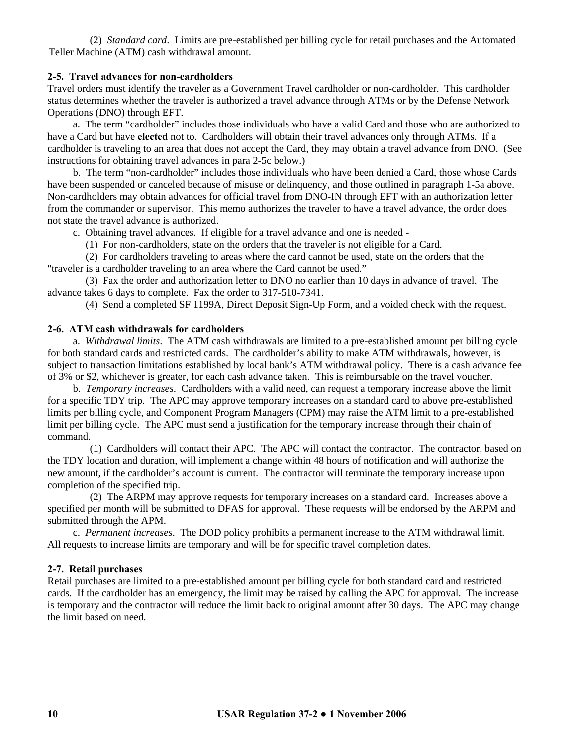(2) *Standard card*. Limits are pre-established per billing cycle for retail purchases and the Automated Teller Machine (ATM) cash withdrawal amount.

#### **2-5. Travel advances for non-cardholders**

Travel orders must identify the traveler as a Government Travel cardholder or non-cardholder. This cardholder status determines whether the traveler is authorized a travel advance through ATMs or by the Defense Network Operations (DNO) through EFT.

a. The term "cardholder" includes those individuals who have a valid Card and those who are authorized to have a Card but have **elected** not to. Cardholders will obtain their travel advances only through ATMs. If a cardholder is traveling to an area that does not accept the Card, they may obtain a travel advance from DNO. (See instructions for obtaining travel advances in para 2-5c below.)

b. The term "non-cardholder" includes those individuals who have been denied a Card, those whose Cards have been suspended or canceled because of misuse or delinquency, and those outlined in paragraph 1-5a above. Non-cardholders may obtain advances for official travel from DNO-IN through EFT with an authorization letter from the commander or supervisor. This memo authorizes the traveler to have a travel advance, the order does not state the travel advance is authorized.

c. Obtaining travel advances. If eligible for a travel advance and one is needed -

(1) For non-cardholders, state on the orders that the traveler is not eligible for a Card.

(2) For cardholders traveling to areas where the card cannot be used, state on the orders that the "traveler is a cardholder traveling to an area where the Card cannot be used."

(3) Fax the order and authorization letter to DNO no earlier than 10 days in advance of travel. The advance takes 6 days to complete. Fax the order to 317-510-7341.

(4) Send a completed SF 1199A, Direct Deposit Sign-Up Form, and a voided check with the request.

#### **2-6. ATM cash withdrawals for cardholders**

 a. *Withdrawal limits*. The ATM cash withdrawals are limited to a pre-established amount per billing cycle for both standard cards and restricted cards. The cardholder's ability to make ATM withdrawals, however, is subject to transaction limitations established by local bank's ATM withdrawal policy. There is a cash advance fee of 3% or \$2, whichever is greater, for each cash advance taken. This is reimbursable on the travel voucher.

 b. *Temporary increases*. Cardholders with a valid need, can request a temporary increase above the limit for a specific TDY trip. The APC may approve temporary increases on a standard card to above pre-established limits per billing cycle, and Component Program Managers (CPM) may raise the ATM limit to a pre-established limit per billing cycle. The APC must send a justification for the temporary increase through their chain of command.

(1) Cardholders will contact their APC. The APC will contact the contractor. The contractor, based on the TDY location and duration, will implement a change within 48 hours of notification and will authorize the new amount, if the cardholder's account is current. The contractor will terminate the temporary increase upon completion of the specified trip.

(2) The ARPM may approve requests for temporary increases on a standard card. Increases above a specified per month will be submitted to DFAS for approval. These requests will be endorsed by the ARPM and submitted through the APM.

 c. *Permanent increases*. The DOD policy prohibits a permanent increase to the ATM withdrawal limit. All requests to increase limits are temporary and will be for specific travel completion dates.

# **2-7. Retail purchases**

Retail purchases are limited to a pre-established amount per billing cycle for both standard card and restricted cards. If the cardholder has an emergency, the limit may be raised by calling the APC for approval. The increase is temporary and the contractor will reduce the limit back to original amount after 30 days. The APC may change the limit based on need.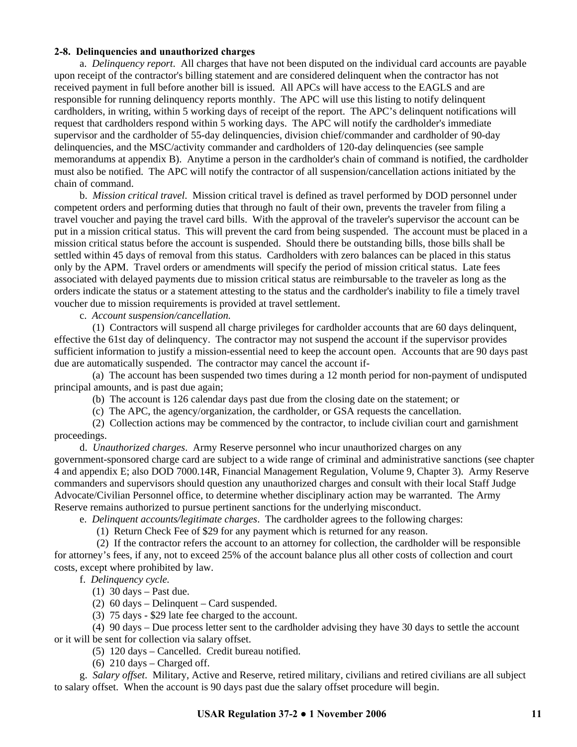#### **2-8. Delinquencies and unauthorized charges**

 a. *Delinquency report*. All charges that have not been disputed on the individual card accounts are payable upon receipt of the contractor's billing statement and are considered delinquent when the contractor has not received payment in full before another bill is issued. All APCs will have access to the EAGLS and are responsible for running delinquency reports monthly. The APC will use this listing to notify delinquent cardholders, in writing, within 5 working days of receipt of the report. The APC's delinquent notifications will request that cardholders respond within 5 working days. The APC will notify the cardholder's immediate supervisor and the cardholder of 55-day delinquencies, division chief/commander and cardholder of 90-day delinquencies, and the MSC/activity commander and cardholders of 120-day delinquencies (see sample memorandums at appendix B). Anytime a person in the cardholder's chain of command is notified, the cardholder must also be notified. The APC will notify the contractor of all suspension/cancellation actions initiated by the chain of command.

 b. *Mission critical travel*. Mission critical travel is defined as travel performed by DOD personnel under competent orders and performing duties that through no fault of their own, prevents the traveler from filing a travel voucher and paying the travel card bills. With the approval of the traveler's supervisor the account can be put in a mission critical status. This will prevent the card from being suspended. The account must be placed in a mission critical status before the account is suspended. Should there be outstanding bills, those bills shall be settled within 45 days of removal from this status. Cardholders with zero balances can be placed in this status only by the APM. Travel orders or amendments will specify the period of mission critical status. Late fees associated with delayed payments due to mission critical status are reimbursable to the traveler as long as the orders indicate the status or a statement attesting to the status and the cardholder's inability to file a timely travel voucher due to mission requirements is provided at travel settlement.

c. *Account suspension/cancellation.*

 (1) Contractors will suspend all charge privileges for cardholder accounts that are 60 days delinquent, effective the 61st day of delinquency. The contractor may not suspend the account if the supervisor provides sufficient information to justify a mission-essential need to keep the account open. Accounts that are 90 days past due are automatically suspended. The contractor may cancel the account if-

 (a) The account has been suspended two times during a 12 month period for non-payment of undisputed principal amounts, and is past due again;

(b) The account is 126 calendar days past due from the closing date on the statement; or

(c) The APC, the agency/organization, the cardholder, or GSA requests the cancellation.

 (2) Collection actions may be commenced by the contractor, to include civilian court and garnishment proceedings.

 d. *Unauthorized charges*. Army Reserve personnel who incur unauthorized charges on any government-sponsored charge card are subject to a wide range of criminal and administrative sanctions (see chapter 4 and appendix E; also DOD 7000.14R, Financial Management Regulation, Volume 9, Chapter 3). Army Reserve commanders and supervisors should question any unauthorized charges and consult with their local Staff Judge Advocate/Civilian Personnel office, to determine whether disciplinary action may be warranted. The Army Reserve remains authorized to pursue pertinent sanctions for the underlying misconduct.

e. *Delinquent accounts/legitimate charges*. The cardholder agrees to the following charges:

(1) Return Check Fee of \$29 for any payment which is returned for any reason.

 (2) If the contractor refers the account to an attorney for collection, the cardholder will be responsible for attorney's fees, if any, not to exceed 25% of the account balance plus all other costs of collection and court costs, except where prohibited by law.

f. *Delinquency cycle.*

- (1) 30 days Past due.
- (2) 60 days Delinquent Card suspended.
- (3) 75 days \$29 late fee charged to the account.

 (4) 90 days – Due process letter sent to the cardholder advising they have 30 days to settle the account or it will be sent for collection via salary offset.

(5) 120 days – Cancelled. Credit bureau notified.

(6)  $210 \text{ days} - \text{Charged off.}$ 

g. *Salary offset*.Military, Active and Reserve, retired military, civilians and retired civilians are all subject to salary offset. When the account is 90 days past due the salary offset procedure will begin.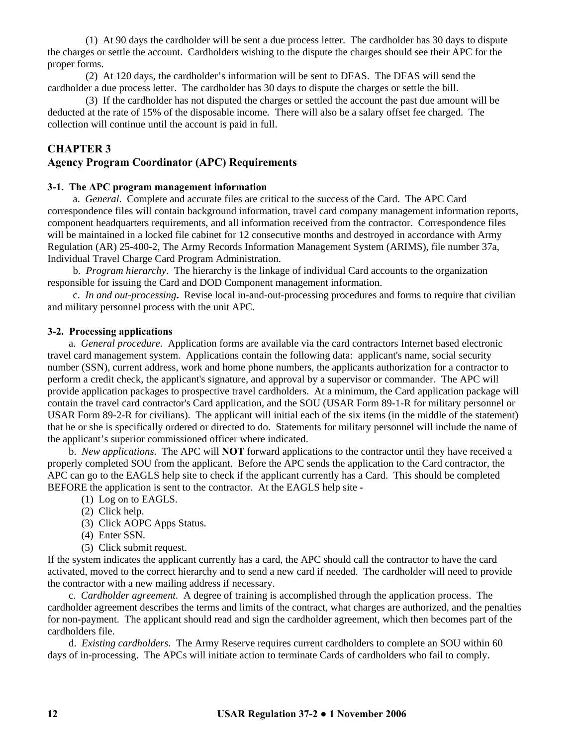(1) At 90 days the cardholder will be sent a due process letter. The cardholder has 30 days to dispute the charges or settle the account. Cardholders wishing to the dispute the charges should see their APC for the proper forms.

(2) At 120 days, the cardholder's information will be sent to DFAS. The DFAS will send the cardholder a due process letter. The cardholder has 30 days to dispute the charges or settle the bill.

(3) If the cardholder has not disputed the charges or settled the account the past due amount will be deducted at the rate of 15% of the disposable income. There will also be a salary offset fee charged. The collection will continue until the account is paid in full.

# **CHAPTER 3**

#### **Agency Program Coordinator (APC) Requirements**

#### **3-1. The APC program management information**

 a. *General*. Complete and accurate files are critical to the success of the Card. The APC Card correspondence files will contain background information, travel card company management information reports, component headquarters requirements, and all information received from the contractor. Correspondence files will be maintained in a locked file cabinet for 12 consecutive months and destroyed in accordance with Army Regulation (AR) 25-400-2, The Army Records Information Management System (ARIMS), file number 37a, Individual Travel Charge Card Program Administration.

 b. *Program hierarchy*. The hierarchy is the linkage of individual Card accounts to the organization responsible for issuing the Card and DOD Component management information.

 c. *In and out-processing***.** Revise local in-and-out-processing procedures and forms to require that civilian and military personnel process with the unit APC.

#### **3-2. Processing applications**

 a. *General procedure*.Application forms are available via the card contractors Internet based electronic travel card management system. Applications contain the following data: applicant's name, social security number (SSN), current address, work and home phone numbers, the applicants authorization for a contractor to perform a credit check, the applicant's signature, and approval by a supervisor or commander. The APC will provide application packages to prospective travel cardholders. At a minimum, the Card application package will contain the travel card contractor's Card application, and the SOU (USAR Form 89-1-R for military personnel or USAR Form 89-2-R for civilians). The applicant will initial each of the six items (in the middle of the statement) that he or she is specifically ordered or directed to do. Statements for military personnel will include the name of the applicant's superior commissioned officer where indicated.

 b. *New applications*.The APC will **NOT** forward applications to the contractor until they have received a properly completed SOU from the applicant. Before the APC sends the application to the Card contractor, the APC can go to the EAGLS help site to check if the applicant currently has a Card. This should be completed BEFORE the application is sent to the contractor. At the EAGLS help site -

- (1) Log on to EAGLS.
- (2) Click help.
- (3) Click AOPC Apps Status.
- (4) Enter SSN.
- (5) Click submit request.

If the system indicates the applicant currently has a card, the APC should call the contractor to have the card activated, moved to the correct hierarchy and to send a new card if needed. The cardholder will need to provide the contractor with a new mailing address if necessary.

 c. *Cardholder agreement.* A degree of training is accomplished through the application process. The cardholder agreement describes the terms and limits of the contract, what charges are authorized, and the penalties for non-payment. The applicant should read and sign the cardholder agreement, which then becomes part of the cardholders file.

 d. *Existing cardholders*. The Army Reserve requires current cardholders to complete an SOU within 60 days of in-processing. The APCs will initiate action to terminate Cards of cardholders who fail to comply.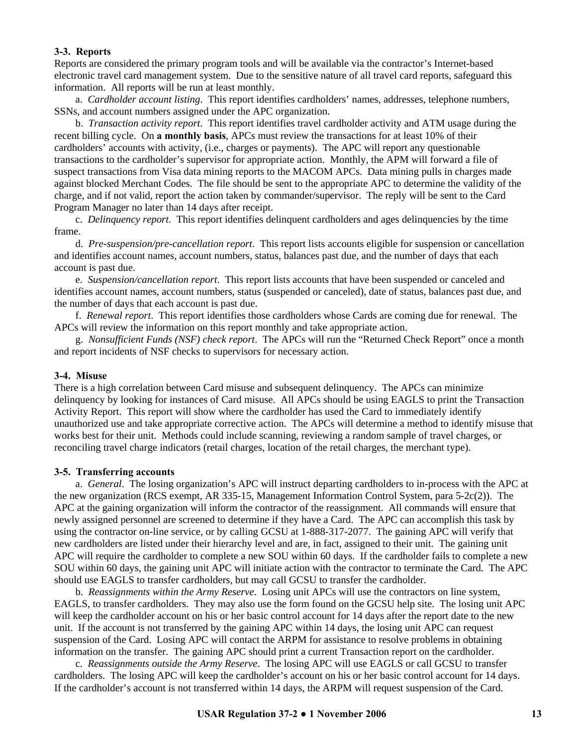#### **3-3. Reports**

Reports are considered the primary program tools and will be available via the contractor's Internet-based electronic travel card management system. Due to the sensitive nature of all travel card reports, safeguard this information. All reports will be run at least monthly.

 a. *Cardholder account listing*.This report identifies cardholders' names, addresses, telephone numbers, SSNs, and account numbers assigned under the APC organization.

b. *Transaction activity report*.This report identifies travel cardholder activity and ATM usage during the recent billing cycle. On **a monthly basis**, APCs must review the transactions for at least 10% of their cardholders' accounts with activity, (i.e., charges or payments). The APC will report any questionable transactions to the cardholder's supervisor for appropriate action. Monthly, the APM will forward a file of suspect transactions from Visa data mining reports to the MACOM APCs. Data mining pulls in charges made against blocked Merchant Codes. The file should be sent to the appropriate APC to determine the validity of the charge, and if not valid, report the action taken by commander/supervisor. The reply will be sent to the Card Program Manager no later than 14 days after receipt.

c. *Delinquency report*.This report identifies delinquent cardholders and ages delinquencies by the time frame.

d. *Pre-suspension/pre-cancellation report*.This report lists accounts eligible for suspension or cancellation and identifies account names, account numbers, status, balances past due, and the number of days that each account is past due.

e. *Suspension/cancellation report*.This report lists accounts that have been suspended or canceled and identifies account names, account numbers, status (suspended or canceled), date of status, balances past due, and the number of days that each account is past due.

f. *Renewal report*.This report identifies those cardholders whose Cards are coming due for renewal. The APCs will review the information on this report monthly and take appropriate action.

g. *Nonsufficient Funds (NSF) check report*. The APCs will run the "Returned Check Report" once a month and report incidents of NSF checks to supervisors for necessary action.

#### **3-4. Misuse**

There is a high correlation between Card misuse and subsequent delinquency. The APCs can minimize delinquency by looking for instances of Card misuse. All APCs should be using EAGLS to print the Transaction Activity Report. This report will show where the cardholder has used the Card to immediately identify unauthorized use and take appropriate corrective action. The APCs will determine a method to identify misuse that works best for their unit. Methods could include scanning, reviewing a random sample of travel charges, or reconciling travel charge indicators (retail charges, location of the retail charges, the merchant type).

#### **3-5. Transferring accounts**

a. *General*. The losing organization's APC will instruct departing cardholders to in-process with the APC at the new organization (RCS exempt, AR 335-15, Management Information Control System, para 5-2c(2)). The APC at the gaining organization will inform the contractor of the reassignment. All commands will ensure that newly assigned personnel are screened to determine if they have a Card. The APC can accomplish this task by using the contractor on-line service, or by calling GCSU at 1-888-317-2077. The gaining APC will verify that new cardholders are listed under their hierarchy level and are, in fact, assigned to their unit. The gaining unit APC will require the cardholder to complete a new SOU within 60 days. If the cardholder fails to complete a new SOU within 60 days, the gaining unit APC will initiate action with the contractor to terminate the Card. The APC should use EAGLS to transfer cardholders, but may call GCSU to transfer the cardholder.

b. *Reassignments within the Army Reserve*. Losing unit APCs will use the contractors on line system, EAGLS, to transfer cardholders. They may also use the form found on the GCSU help site.The losing unit APC will keep the cardholder account on his or her basic control account for 14 days after the report date to the new unit. If the account is not transferred by the gaining APC within 14 days, the losing unit APC can request suspension of the Card.Losing APC will contact the ARPM for assistance to resolve problems in obtaining information on the transfer.The gaining APC should print a current Transaction report on the cardholder.

c. *Reassignments outside the Army Reserve*. The losing APC will use EAGLS or call GCSU to transfer cardholders.The losing APC will keep the cardholder's account on his or her basic control account for 14 days. If the cardholder's account is not transferred within 14 days, the ARPM will request suspension of the Card.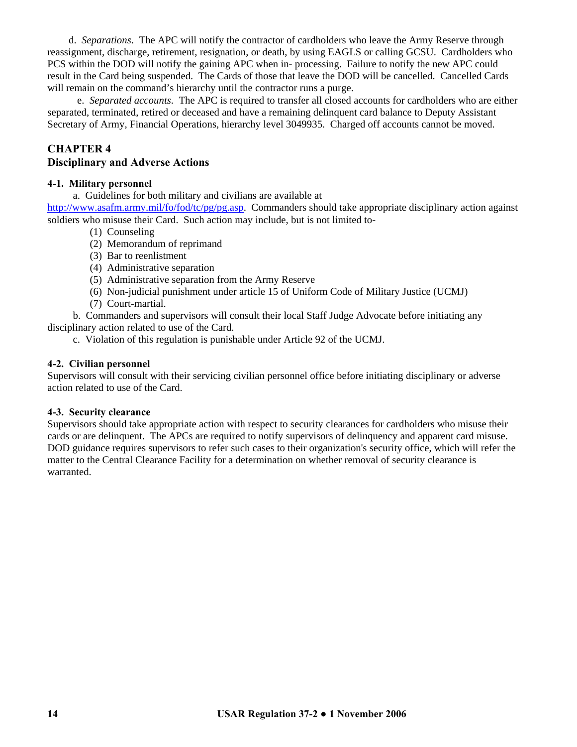d. *Separations*. The APC will notify the contractor of cardholders who leave the Army Reserve through reassignment, discharge, retirement, resignation, or death, by using EAGLS or calling GCSU. Cardholders who PCS within the DOD will notify the gaining APC when in- processing.Failure to notify the new APC could result in the Card being suspended. The Cards of those that leave the DOD will be cancelled. Cancelled Cards will remain on the command's hierarchy until the contractor runs a purge.

 e. *Separated accounts*. The APC is required to transfer all closed accounts for cardholders who are either separated, terminated, retired or deceased and have a remaining delinquent card balance to Deputy Assistant Secretary of Army, Financial Operations, hierarchy level 3049935. Charged off accounts cannot be moved.

# **CHAPTER 4**

#### **Disciplinary and Adverse Actions**

#### **4-1. Military personnel**

a. Guidelines for both military and civilians are available at [http://www.asafm.army.mil/fo/fod/tc/pg/pg.asp.](http://www.asafm.army.mil/fo/fod/tc/pg/pg.asp) Commanders should take appropriate disciplinary action against soldiers who misuse their Card. Such action may include, but is not limited to-

- (1) Counseling
- (2) Memorandum of reprimand
- (3) Bar to reenlistment
- (4) Administrative separation
- (5) Administrative separation from the Army Reserve
- (6) Non-judicial punishment under article 15 of Uniform Code of Military Justice (UCMJ)
- (7) Court-martial.

b. Commanders and supervisors will consult their local Staff Judge Advocate before initiating any disciplinary action related to use of the Card.

c. Violation of this regulation is punishable under Article 92 of the UCMJ.

#### **4-2. Civilian personnel**

Supervisors will consult with their servicing civilian personnel office before initiating disciplinary or adverse action related to use of the Card.

#### **4-3. Security clearance**

Supervisors should take appropriate action with respect to security clearances for cardholders who misuse their cards or are delinquent. The APCs are required to notify supervisors of delinquency and apparent card misuse. DOD guidance requires supervisors to refer such cases to their organization's security office, which will refer the matter to the Central Clearance Facility for a determination on whether removal of security clearance is warranted.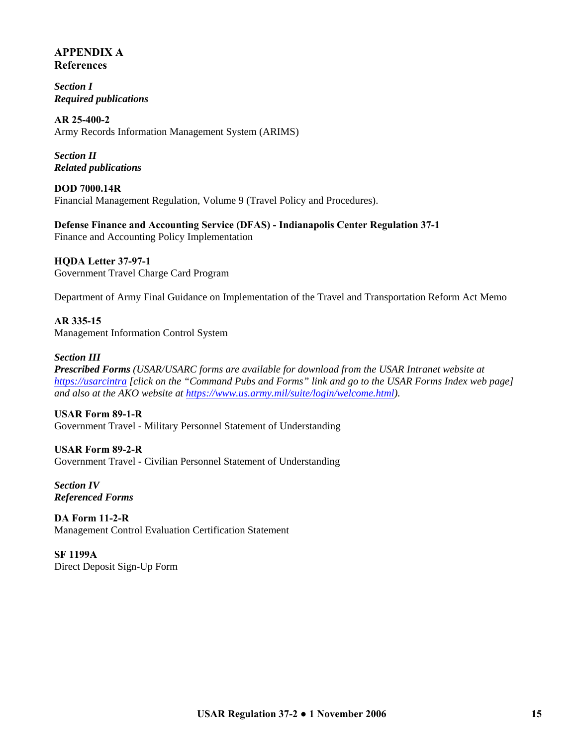# **APPENDIX A References**

*Section I Required publications* 

**AR 25-400-2**  Army Records Information Management System (ARIMS)

*Section II Related publications* 

**DOD 7000.14R**  Financial Management Regulation, Volume 9 (Travel Policy and Procedures).

**Defense Finance and Accounting Service (DFAS) - Indianapolis Center Regulation 37-1**  Finance and Accounting Policy Implementation

**HQDA Letter 37-97-1**  Government Travel Charge Card Program

Department of Army Final Guidance on Implementation of the Travel and Transportation Reform Act Memo

**AR 335-15**  Management Information Control System

#### *Section III*

*Prescribed Forms (USAR/USARC forms are available for download from the USAR Intranet website at [https://usarcintra](https://usarcintra/) [click on the "Command Pubs and Forms" link and go to the USAR Forms Index web page] and also at the AKO website at<https://www.us.army.mil/suite/login/welcome.html>).*

**USAR Form 89-1-R**  Government Travel - Military Personnel Statement of Understanding

**USAR Form 89-2-R**  Government Travel - Civilian Personnel Statement of Understanding

*Section IV Referenced Forms* 

**DA Form 11-2-R**  Management Control Evaluation Certification Statement

**SF 1199A**  Direct Deposit Sign-Up Form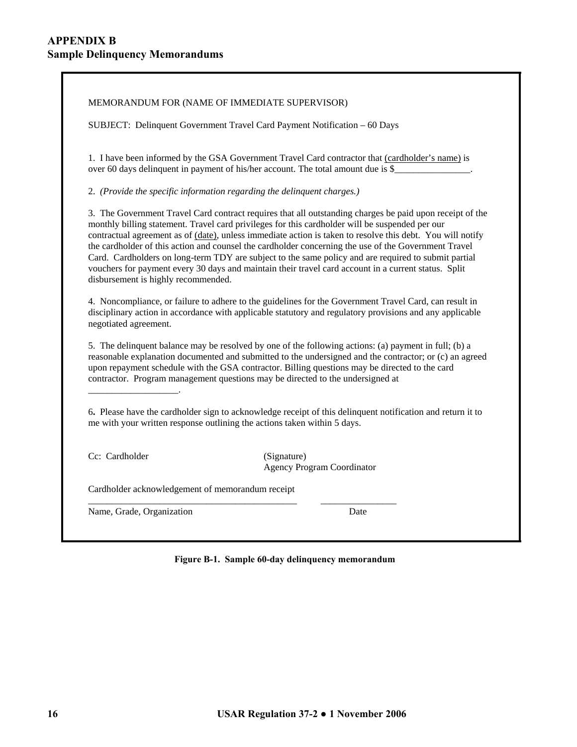MEMORANDUM FOR (NAME OF IMMEDIATE SUPERVISOR)

SUBJECT: Delinquent Government Travel Card Payment Notification – 60 Days

1. I have been informed by the GSA Government Travel Card contractor that (cardholder's name) is over 60 days delinquent in payment of his/her account. The total amount due is \$

2. *(Provide the specific information regarding the delinquent charges.)*

3. The Government Travel Card contract requires that all outstanding charges be paid upon receipt of the monthly billing statement. Travel card privileges for this cardholder will be suspended per our contractual agreement as of (date), unless immediate action is taken to resolve this debt. You will notify the cardholder of this action and counsel the cardholder concerning the use of the Government Travel Card. Cardholders on long-term TDY are subject to the same policy and are required to submit partial vouchers for payment every 30 days and maintain their travel card account in a current status. Split disbursement is highly recommended.

4. Noncompliance, or failure to adhere to the guidelines for the Government Travel Card, can result in disciplinary action in accordance with applicable statutory and regulatory provisions and any applicable negotiated agreement.

5. The delinquent balance may be resolved by one of the following actions: (a) payment in full; (b) a reasonable explanation documented and submitted to the undersigned and the contractor; or (c) an agreed upon repayment schedule with the GSA contractor. Billing questions may be directed to the card contractor. Program management questions may be directed to the undersigned at

6**.** Please have the cardholder sign to acknowledge receipt of this delinquent notification and return it to me with your written response outlining the actions taken within 5 days.

Cc: Cardholder (Signature)

\_\_\_\_\_\_\_\_\_\_\_\_\_\_\_\_\_\_\_.

Agency Program Coordinator

Cardholder acknowledgement of memorandum receipt

Name, Grade, Organization Date

**Figure B-1. Sample 60-day delinquency memorandum**

\_\_\_\_\_\_\_\_\_\_\_\_\_\_\_\_\_\_\_\_\_\_\_\_\_\_\_\_\_\_\_\_\_\_\_\_\_\_\_\_\_\_\_\_ \_\_\_\_\_\_\_\_\_\_\_\_\_\_\_\_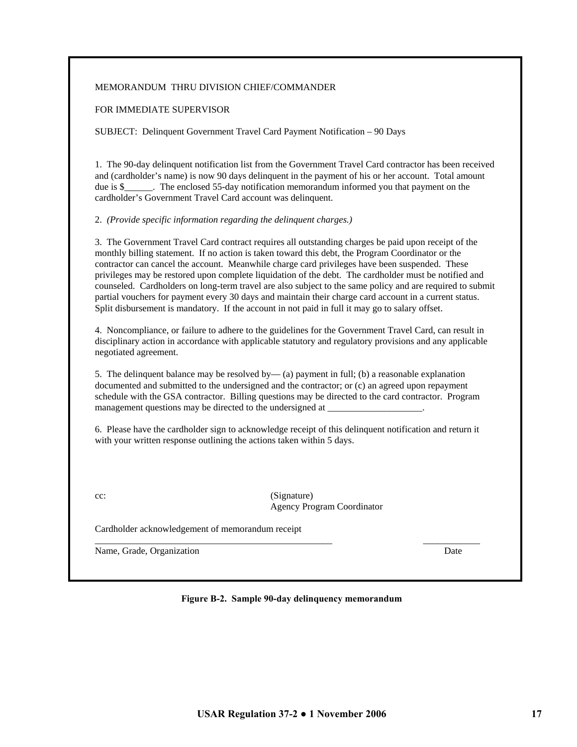# cc: (Signature)

Agency Program Coordinator

Cardholder acknowledgement of memorandum receipt

\_\_\_\_\_\_\_\_\_\_\_\_\_\_\_\_\_\_\_\_\_\_\_\_\_\_\_\_\_\_\_\_\_\_\_\_\_\_\_\_\_\_\_\_\_\_\_\_\_\_ \_\_\_\_\_\_\_\_\_\_\_\_ Name, Grade, Organization Date **Date** Development of the Date of Date Date Date Date Date Date Date of Date Date of Date Date of Date Date of Date Date of Date Date of Date of Date of Date of Date of Date of Date of Date o

**Figure B-2. Sample 90-day delinquency memorandum**

schedule with the GSA contractor. Billing questions may be directed to the card contractor. Program management questions may be directed to the undersigned at

5. The delinquent balance may be resolved by— (a) payment in full; (b) a reasonable explanation documented and submitted to the undersigned and the contractor; or (c) an agreed upon repayment

6. Please have the cardholder sign to acknowledge receipt of this delinquent notification and return it with your written response outlining the actions taken within 5 days.

# 2. *(Provide specific information regarding the delinquent charges.)*

cardholder's Government Travel Card account was delinquent. 3. The Government Travel Card contract requires all outstanding charges be paid upon receipt of the monthly billing statement. If no action is taken toward this debt, the Program Coordinator or the

contractor can cancel the account. Meanwhile charge card privileges have been suspended. These privileges may be restored upon complete liquidation of the debt. The cardholder must be notified and counseled. Cardholders on long-term travel are also subject to the same policy and are required to submit

1. The 90-day delinquent notification list from the Government Travel Card contractor has been received and (cardholder's name) is now 90 days delinquent in the payment of his or her account. Total amount due is \$ The enclosed 55-day notification memorandum informed you that payment on the

# FOR IMMEDIATE SUPERVISOR

SUBJECT: Delinquent Government Travel Card Payment Notification – 90 Days

# MEMORANDUM THRU DIVISION CHIEF/COMMANDER

**USAR Regulation 37-2 ● 1 November 2006 17** 

4. Noncompliance, or failure to adhere to the guidelines for the Government Travel Card, can result in

- disciplinary action in accordance with applicable statutory and regulatory provisions and any applicable negotiated agreement.
- partial vouchers for payment every 30 days and maintain their charge card account in a current status. Split disbursement is mandatory. If the account in not paid in full it may go to salary offset.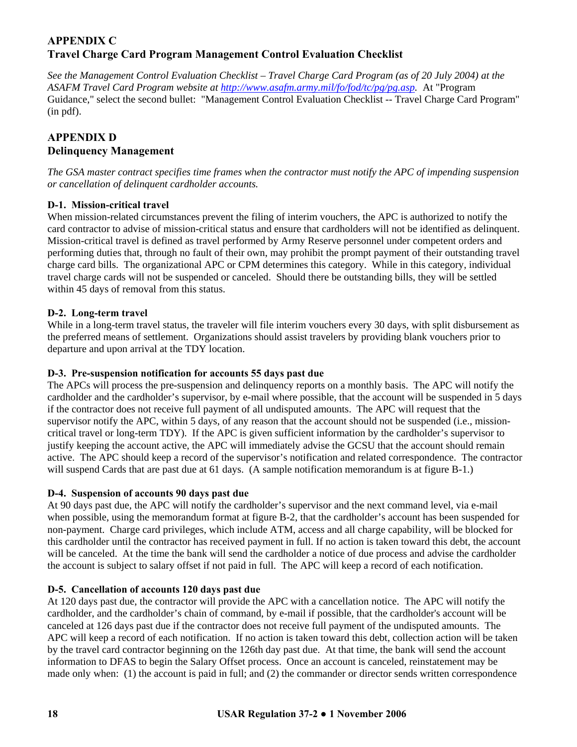# **APPENDIX C Travel Charge Card Program Management Control Evaluation Checklist**

*See the Management Control Evaluation Checklist – Travel Charge Card Program (as of 20 July 2004) at the ASAFM Travel Card Program website at<http://www.asafm.army.mil/fo/fod/tc/pg/pg.asp>.* At "Program Guidance," select the second bullet: "Management Control Evaluation Checklist -- Travel Charge Card Program" (in pdf).

# **APPENDIX D Delinquency Management**

*The GSA master contract specifies time frames when the contractor must notify the APC of impending suspension or cancellation of delinquent cardholder accounts.* 

# **D-1. Mission-critical travel**

When mission-related circumstances prevent the filing of interim vouchers, the APC is authorized to notify the card contractor to advise of mission-critical status and ensure that cardholders will not be identified as delinquent. Mission-critical travel is defined as travel performed by Army Reserve personnel under competent orders and performing duties that, through no fault of their own, may prohibit the prompt payment of their outstanding travel charge card bills. The organizational APC or CPM determines this category. While in this category, individual travel charge cards will not be suspended or canceled. Should there be outstanding bills, they will be settled within 45 days of removal from this status.

# **D-2. Long-term travel**

While in a long-term travel status, the traveler will file interim vouchers every 30 days, with split disbursement as the preferred means of settlement. Organizations should assist travelers by providing blank vouchers prior to departure and upon arrival at the TDY location.

# **D-3. Pre-suspension notification for accounts 55 days past due**

The APCs will process the pre-suspension and delinquency reports on a monthly basis. The APC will notify the cardholder and the cardholder's supervisor, by e-mail where possible, that the account will be suspended in 5 days if the contractor does not receive full payment of all undisputed amounts. The APC will request that the supervisor notify the APC, within 5 days, of any reason that the account should not be suspended (i.e., missioncritical travel or long-term TDY). If the APC is given sufficient information by the cardholder's supervisor to justify keeping the account active, the APC will immediately advise the GCSU that the account should remain active. The APC should keep a record of the supervisor's notification and related correspondence. The contractor will suspend Cards that are past due at 61 days. (A sample notification memorandum is at figure B-1.)

# **D-4. Suspension of accounts 90 days past due**

At 90 days past due, the APC will notify the cardholder's supervisor and the next command level, via e-mail when possible, using the memorandum format at figure B-2, that the cardholder's account has been suspended for non-payment. Charge card privileges, which include ATM, access and all charge capability, will be blocked for this cardholder until the contractor has received payment in full. If no action is taken toward this debt, the account will be canceled. At the time the bank will send the cardholder a notice of due process and advise the cardholder the account is subject to salary offset if not paid in full. The APC will keep a record of each notification.

# **D-5. Cancellation of accounts 120 days past due**

At 120 days past due, the contractor will provide the APC with a cancellation notice. The APC will notify the cardholder, and the cardholder's chain of command, by e-mail if possible, that the cardholder's account will be canceled at 126 days past due if the contractor does not receive full payment of the undisputed amounts. The APC will keep a record of each notification. If no action is taken toward this debt, collection action will be taken by the travel card contractor beginning on the 126th day past due. At that time, the bank will send the account information to DFAS to begin the Salary Offset process. Once an account is canceled, reinstatement may be made only when: (1) the account is paid in full; and (2) the commander or director sends written correspondence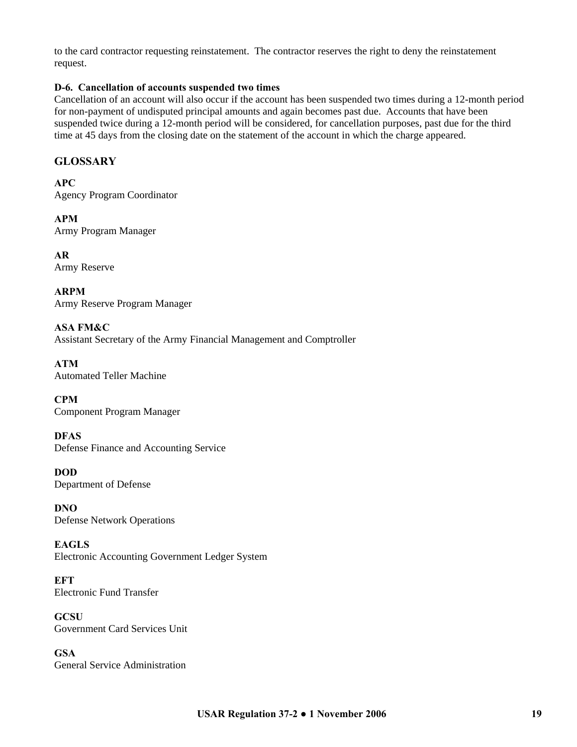to the card contractor requesting reinstatement. The contractor reserves the right to deny the reinstatement request.

#### **D-6. Cancellation of accounts suspended two times**

Cancellation of an account will also occur if the account has been suspended two times during a 12-month period for non-payment of undisputed principal amounts and again becomes past due. Accounts that have been suspended twice during a 12-month period will be considered, for cancellation purposes, past due for the third time at 45 days from the closing date on the statement of the account in which the charge appeared.

# **GLOSSARY**

**APC**  Agency Program Coordinator

**APM**  Army Program Manager

**AR**  Army Reserve

**ARPM**  Army Reserve Program Manager

**ASA FM&C**  Assistant Secretary of the Army Financial Management and Comptroller

**ATM**  Automated Teller Machine

**CPM**  Component Program Manager

**DFAS**  Defense Finance and Accounting Service

**DOD**  Department of Defense

**DNO**  Defense Network Operations

**EAGLS**  Electronic Accounting Government Ledger System

**EFT**  Electronic Fund Transfer

**GCSU**  Government Card Services Unit

**GSA**  General Service Administration